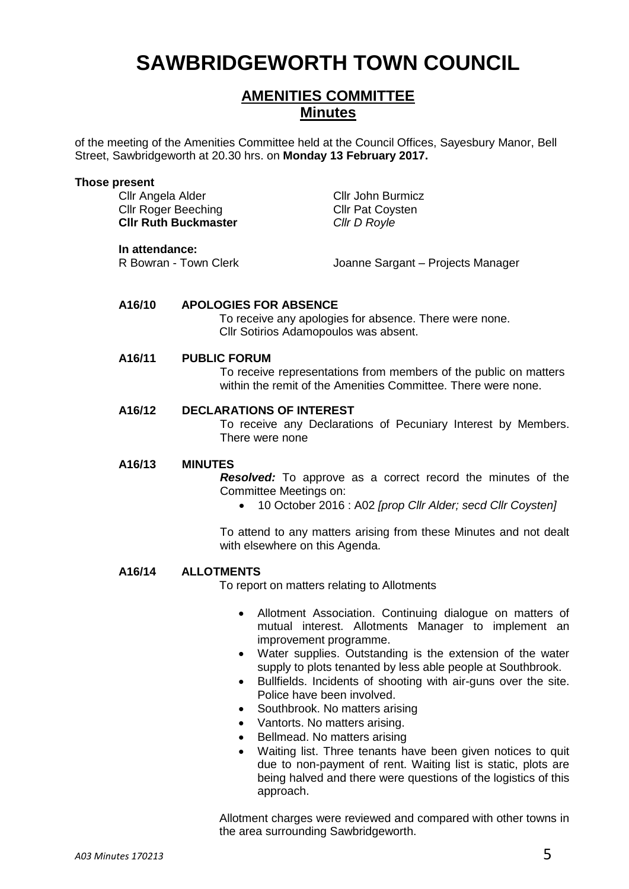# **SAWBRIDGEWORTH TOWN COUNCIL**

# **AMENITIES COMMITTEE Minutes**

of the meeting of the Amenities Committee held at the Council Offices, Sayesbury Manor, Bell Street, Sawbridgeworth at 20.30 hrs. on **Monday 13 February 2017.**

#### **Those present**

Cllr Angela Alder Cllr John Burmicz Cllr Roger Beeching Cllr Pat Coysten **Cllr Ruth Buckmaster** *Cllr D Royle*

**In attendance:**<br>R Bowran - Town Clerk

Joanne Sargant – Projects Manager

#### **A16/10 APOLOGIES FOR ABSENCE**

To receive any apologies for absence. There were none. Cllr Sotirios Adamopoulos was absent.

#### **A16/11 PUBLIC FORUM**

To receive representations from members of the public on matters within the remit of the Amenities Committee. There were none.

# **A16/12 DECLARATIONS OF INTEREST**

To receive any Declarations of Pecuniary Interest by Members. There were none

#### **A16/13 MINUTES**

*Resolved:* To approve as a correct record the minutes of the Committee Meetings on:

10 October 2016 : A02 *[prop Cllr Alder; secd Cllr Coysten]*

To attend to any matters arising from these Minutes and not dealt with elsewhere on this Agenda.

#### **A16/14 ALLOTMENTS**

To report on matters relating to Allotments

- Allotment Association. Continuing dialogue on matters of mutual interest. Allotments Manager to implement an improvement programme.
- Water supplies. Outstanding is the extension of the water supply to plots tenanted by less able people at Southbrook.
- Bullfields. Incidents of shooting with air-guns over the site. Police have been involved.
- Southbrook. No matters arising
- Vantorts. No matters arising.
- Bellmead. No matters arising
- Waiting list. Three tenants have been given notices to quit due to non-payment of rent. Waiting list is static, plots are being halved and there were questions of the logistics of this approach.

Allotment charges were reviewed and compared with other towns in the area surrounding Sawbridgeworth.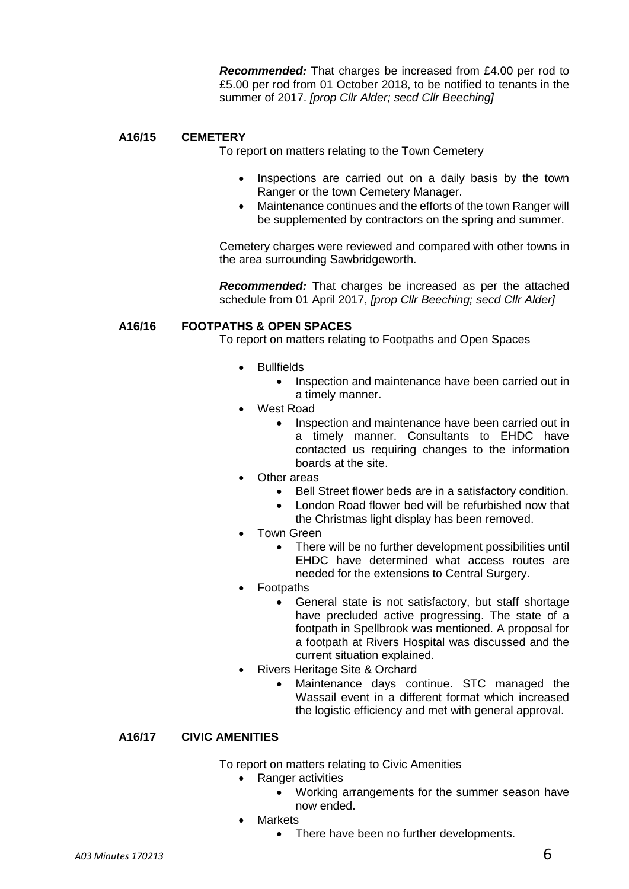*Recommended:* That charges be increased from £4.00 per rod to £5.00 per rod from 01 October 2018, to be notified to tenants in the summer of 2017. *[prop Cllr Alder; secd Cllr Beeching]*

## **A16/15 CEMETERY**

To report on matters relating to the Town Cemetery

- Inspections are carried out on a daily basis by the town Ranger or the town Cemetery Manager.
- Maintenance continues and the efforts of the town Ranger will be supplemented by contractors on the spring and summer.

Cemetery charges were reviewed and compared with other towns in the area surrounding Sawbridgeworth.

*Recommended:* That charges be increased as per the attached schedule from 01 April 2017, *[prop Cllr Beeching; secd Cllr Alder]*

#### **A16/16 FOOTPATHS & OPEN SPACES**

To report on matters relating to Footpaths and Open Spaces

- **Bullfields** 
	- Inspection and maintenance have been carried out in a timely manner.
- West Road
	- Inspection and maintenance have been carried out in a timely manner. Consultants to EHDC have contacted us requiring changes to the information boards at the site.
- Other areas
	- Bell Street flower beds are in a satisfactory condition.
	- London Road flower bed will be refurbished now that the Christmas light display has been removed.
- Town Green
	- There will be no further development possibilities until EHDC have determined what access routes are needed for the extensions to Central Surgery.
- Footpaths
	- General state is not satisfactory, but staff shortage have precluded active progressing. The state of a footpath in Spellbrook was mentioned. A proposal for a footpath at Rivers Hospital was discussed and the current situation explained.
- Rivers Heritage Site & Orchard
	- Maintenance days continue. STC managed the Wassail event in a different format which increased the logistic efficiency and met with general approval.

# **A16/17 CIVIC AMENITIES**

To report on matters relating to Civic Amenities

- Ranger activities
	- Working arrangements for the summer season have now ended.
- **Markets** 
	- There have been no further developments.